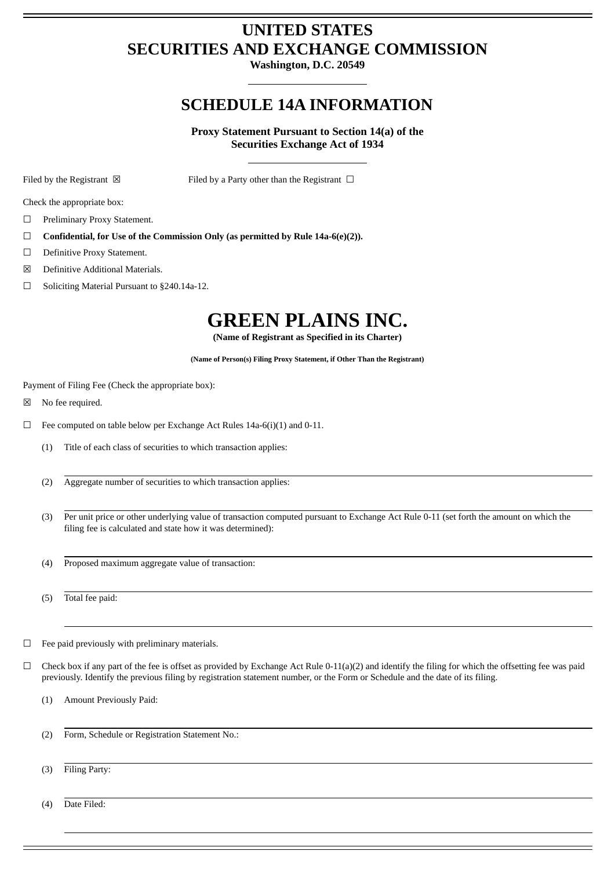# **UNITED STATES SECURITIES AND EXCHANGE COMMISSION**

**Washington, D.C. 20549**

# **SCHEDULE 14A INFORMATION**

**Proxy Statement Pursuant to Section 14(a) of the Securities Exchange Act of 1934**

Filed by the Registrant  $\boxtimes$  Filed by a Party other than the Registrant  $\Box$ 

Check the appropriate box:

- ☐ Preliminary Proxy Statement.
- ☐ **Confidential, for Use of the Commission Only (as permitted by Rule 14a-6(e)(2)).**
- □ Definitive Proxy Statement.
- ☒ Definitive Additional Materials.
- ☐ Soliciting Material Pursuant to §240.14a-12.

# **GREEN PLAINS INC.**

**(Name of Registrant as Specified in its Charter)**

**(Name of Person(s) Filing Proxy Statement, if Other Than the Registrant)**

Payment of Filing Fee (Check the appropriate box):

- ☒ No fee required.
- $\Box$  Fee computed on table below per Exchange Act Rules 14a-6(i)(1) and 0-11.
	- (1) Title of each class of securities to which transaction applies:
	- (2) Aggregate number of securities to which transaction applies:
	- (3) Per unit price or other underlying value of transaction computed pursuant to Exchange Act Rule 0-11 (set forth the amount on which the filing fee is calculated and state how it was determined):
	- (4) Proposed maximum aggregate value of transaction:

(5) Total fee paid:

- $\Box$  Fee paid previously with preliminary materials.
- $\Box$  Check box if any part of the fee is offset as provided by Exchange Act Rule 0-11(a)(2) and identify the filing for which the offsetting fee was paid previously. Identify the previous filing by registration statement number, or the Form or Schedule and the date of its filing.

(1) Amount Previously Paid:

- (2) Form, Schedule or Registration Statement No.:
- (3) Filing Party:

(4) Date Filed: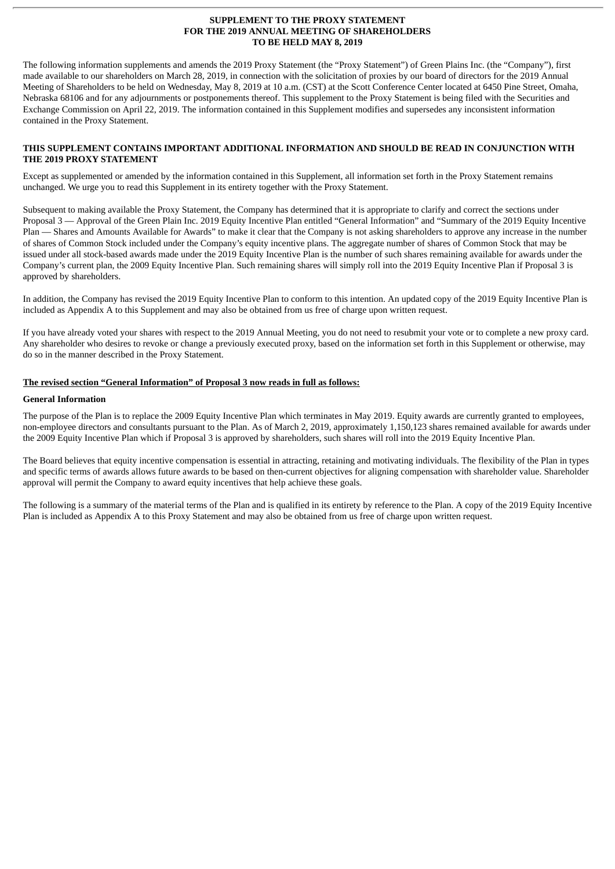#### **SUPPLEMENT TO THE PROXY STATEMENT FOR THE 2019 ANNUAL MEETING OF SHAREHOLDERS TO BE HELD MAY 8, 2019**

The following information supplements and amends the 2019 Proxy Statement (the "Proxy Statement") of Green Plains Inc. (the "Company"), first made available to our shareholders on March 28, 2019, in connection with the solicitation of proxies by our board of directors for the 2019 Annual Meeting of Shareholders to be held on Wednesday, May 8, 2019 at 10 a.m. (CST) at the Scott Conference Center located at 6450 Pine Street, Omaha, Nebraska 68106 and for any adjournments or postponements thereof. This supplement to the Proxy Statement is being filed with the Securities and Exchange Commission on April 22, 2019. The information contained in this Supplement modifies and supersedes any inconsistent information contained in the Proxy Statement.

#### **THIS SUPPLEMENT CONTAINS IMPORTANT ADDITIONAL INFORMATION AND SHOULD BE READ IN CONJUNCTION WITH THE 2019 PROXY STATEMENT**

Except as supplemented or amended by the information contained in this Supplement, all information set forth in the Proxy Statement remains unchanged. We urge you to read this Supplement in its entirety together with the Proxy Statement.

Subsequent to making available the Proxy Statement, the Company has determined that it is appropriate to clarify and correct the sections under Proposal 3 — Approval of the Green Plain Inc. 2019 Equity Incentive Plan entitled "General Information" and "Summary of the 2019 Equity Incentive Plan — Shares and Amounts Available for Awards" to make it clear that the Company is not asking shareholders to approve any increase in the number of shares of Common Stock included under the Company's equity incentive plans. The aggregate number of shares of Common Stock that may be issued under all stock-based awards made under the 2019 Equity Incentive Plan is the number of such shares remaining available for awards under the Company's current plan, the 2009 Equity Incentive Plan. Such remaining shares will simply roll into the 2019 Equity Incentive Plan if Proposal 3 is approved by shareholders.

In addition, the Company has revised the 2019 Equity Incentive Plan to conform to this intention. An updated copy of the 2019 Equity Incentive Plan is included as Appendix A to this Supplement and may also be obtained from us free of charge upon written request.

If you have already voted your shares with respect to the 2019 Annual Meeting, you do not need to resubmit your vote or to complete a new proxy card. Any shareholder who desires to revoke or change a previously executed proxy, based on the information set forth in this Supplement or otherwise, may do so in the manner described in the Proxy Statement.

# **The revised section "General Information" of Proposal 3 now reads in full as follows:**

#### **General Information**

The purpose of the Plan is to replace the 2009 Equity Incentive Plan which terminates in May 2019. Equity awards are currently granted to employees, non-employee directors and consultants pursuant to the Plan. As of March 2, 2019, approximately 1,150,123 shares remained available for awards under the 2009 Equity Incentive Plan which if Proposal 3 is approved by shareholders, such shares will roll into the 2019 Equity Incentive Plan.

The Board believes that equity incentive compensation is essential in attracting, retaining and motivating individuals. The flexibility of the Plan in types and specific terms of awards allows future awards to be based on then-current objectives for aligning compensation with shareholder value. Shareholder approval will permit the Company to award equity incentives that help achieve these goals.

The following is a summary of the material terms of the Plan and is qualified in its entirety by reference to the Plan. A copy of the 2019 Equity Incentive Plan is included as Appendix A to this Proxy Statement and may also be obtained from us free of charge upon written request.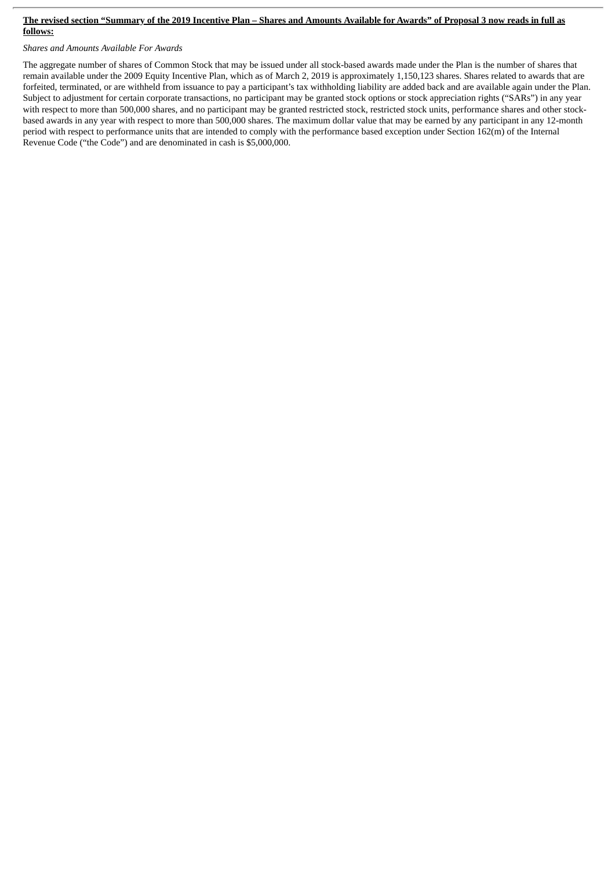#### The revised section "Summary of the 2019 Incentive Plan - Shares and Amounts Available for Awards" of Proposal 3 now reads in full as **follows:**

*Shares and Amounts Available For Awards*

The aggregate number of shares of Common Stock that may be issued under all stock-based awards made under the Plan is the number of shares that remain available under the 2009 Equity Incentive Plan, which as of March 2, 2019 is approximately 1,150,123 shares. Shares related to awards that are forfeited, terminated, or are withheld from issuance to pay a participant's tax withholding liability are added back and are available again under the Plan. Subject to adjustment for certain corporate transactions, no participant may be granted stock options or stock appreciation rights ("SARs") in any year with respect to more than 500,000 shares, and no participant may be granted restricted stock, restricted stock units, performance shares and other stockbased awards in any year with respect to more than 500,000 shares. The maximum dollar value that may be earned by any participant in any 12-month period with respect to performance units that are intended to comply with the performance based exception under Section 162(m) of the Internal Revenue Code ("the Code") and are denominated in cash is \$5,000,000.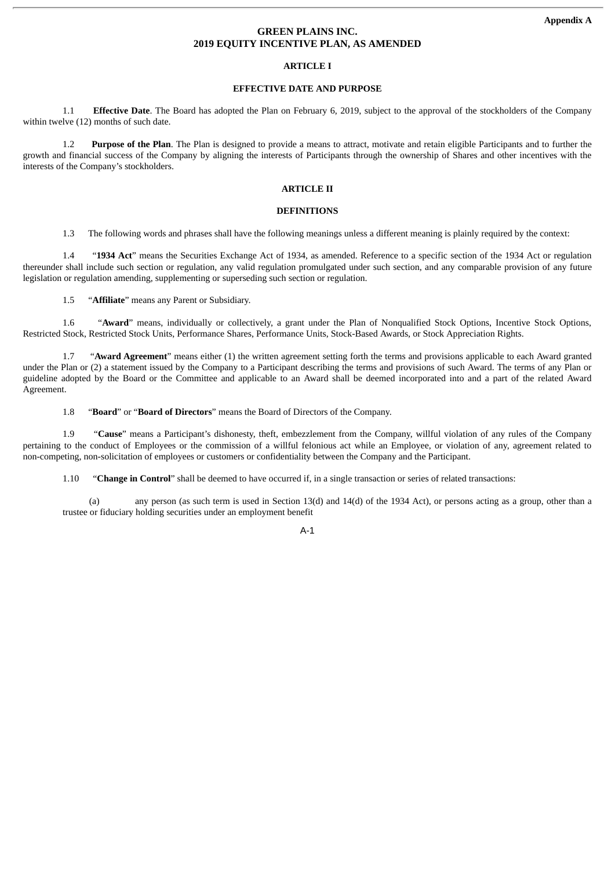# **GREEN PLAINS INC. 2019 EQUITY INCENTIVE PLAN, AS AMENDED**

#### **ARTICLE I**

# **EFFECTIVE DATE AND PURPOSE**

1.1 **Effective Date**. The Board has adopted the Plan on February 6, 2019, subject to the approval of the stockholders of the Company within twelve (12) months of such date.

1.2 **Purpose of the Plan**. The Plan is designed to provide a means to attract, motivate and retain eligible Participants and to further the growth and financial success of the Company by aligning the interests of Participants through the ownership of Shares and other incentives with the interests of the Company's stockholders.

# **ARTICLE II**

#### **DEFINITIONS**

1.3 The following words and phrases shall have the following meanings unless a different meaning is plainly required by the context:

1.4 "**1934 Act**" means the Securities Exchange Act of 1934, as amended. Reference to a specific section of the 1934 Act or regulation thereunder shall include such section or regulation, any valid regulation promulgated under such section, and any comparable provision of any future legislation or regulation amending, supplementing or superseding such section or regulation.

1.5 "**Affiliate**" means any Parent or Subsidiary.

1.6 "**Award**" means, individually or collectively, a grant under the Plan of Nonqualified Stock Options, Incentive Stock Options, Restricted Stock, Restricted Stock Units, Performance Shares, Performance Units, Stock-Based Awards, or Stock Appreciation Rights.

1.7 "**Award Agreement**" means either (1) the written agreement setting forth the terms and provisions applicable to each Award granted under the Plan or (2) a statement issued by the Company to a Participant describing the terms and provisions of such Award. The terms of any Plan or guideline adopted by the Board or the Committee and applicable to an Award shall be deemed incorporated into and a part of the related Award Agreement.

1.8 "**Board**" or "**Board of Directors**" means the Board of Directors of the Company.

1.9 "**Cause**" means a Participant's dishonesty, theft, embezzlement from the Company, willful violation of any rules of the Company pertaining to the conduct of Employees or the commission of a willful felonious act while an Employee, or violation of any, agreement related to non-competing, non-solicitation of employees or customers or confidentiality between the Company and the Participant.

1.10 "**Change in Control**" shall be deemed to have occurred if, in a single transaction or series of related transactions:

(a) any person (as such term is used in Section 13(d) and 14(d) of the 1934 Act), or persons acting as a group, other than a trustee or fiduciary holding securities under an employment benefit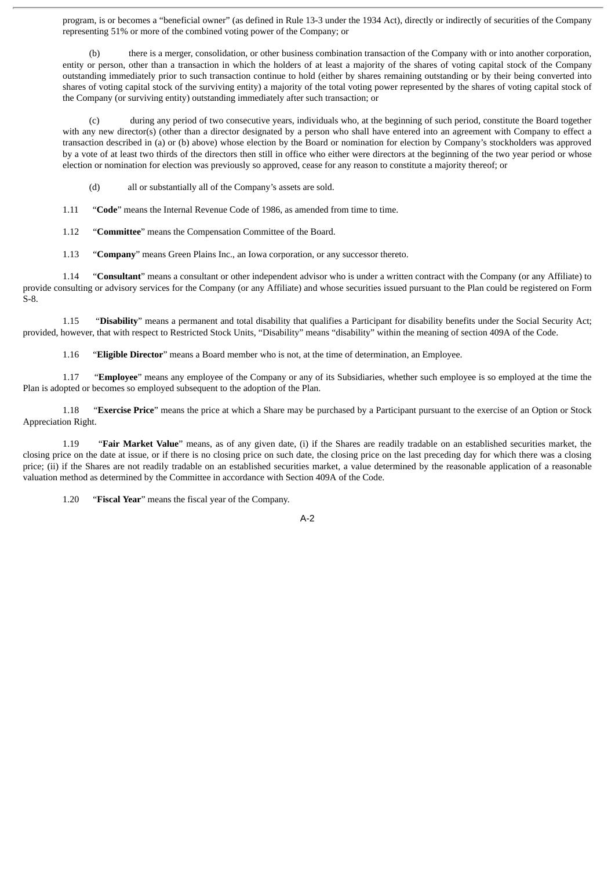program, is or becomes a "beneficial owner" (as defined in Rule 13-3 under the 1934 Act), directly or indirectly of securities of the Company representing 51% or more of the combined voting power of the Company; or

(b) there is a merger, consolidation, or other business combination transaction of the Company with or into another corporation, entity or person, other than a transaction in which the holders of at least a majority of the shares of voting capital stock of the Company outstanding immediately prior to such transaction continue to hold (either by shares remaining outstanding or by their being converted into shares of voting capital stock of the surviving entity) a majority of the total voting power represented by the shares of voting capital stock of the Company (or surviving entity) outstanding immediately after such transaction; or

(c) during any period of two consecutive years, individuals who, at the beginning of such period, constitute the Board together with any new director(s) (other than a director designated by a person who shall have entered into an agreement with Company to effect a transaction described in (a) or (b) above) whose election by the Board or nomination for election by Company's stockholders was approved by a vote of at least two thirds of the directors then still in office who either were directors at the beginning of the two year period or whose election or nomination for election was previously so approved, cease for any reason to constitute a majority thereof; or

(d) all or substantially all of the Company's assets are sold.

1.11 "**Code**" means the Internal Revenue Code of 1986, as amended from time to time.

1.12 "**Committee**" means the Compensation Committee of the Board.

1.13 "**Company**" means Green Plains Inc., an Iowa corporation, or any successor thereto.

1.14 "**Consultant**" means a consultant or other independent advisor who is under a written contract with the Company (or any Affiliate) to provide consulting or advisory services for the Company (or any Affiliate) and whose securities issued pursuant to the Plan could be registered on Form S-8.

1.15 "**Disability**" means a permanent and total disability that qualifies a Participant for disability benefits under the Social Security Act; provided, however, that with respect to Restricted Stock Units, "Disability" means "disability" within the meaning of section 409A of the Code.

1.16 "**Eligible Director**" means a Board member who is not, at the time of determination, an Employee.

1.17 "**Employee**" means any employee of the Company or any of its Subsidiaries, whether such employee is so employed at the time the Plan is adopted or becomes so employed subsequent to the adoption of the Plan.

1.18 "**Exercise Price**" means the price at which a Share may be purchased by a Participant pursuant to the exercise of an Option or Stock Appreciation Right.

1.19 "**Fair Market Value**" means, as of any given date, (i) if the Shares are readily tradable on an established securities market, the closing price on the date at issue, or if there is no closing price on such date, the closing price on the last preceding day for which there was a closing price; (ii) if the Shares are not readily tradable on an established securities market, a value determined by the reasonable application of a reasonable valuation method as determined by the Committee in accordance with Section 409A of the Code.

1.20 "**Fiscal Year**" means the fiscal year of the Company.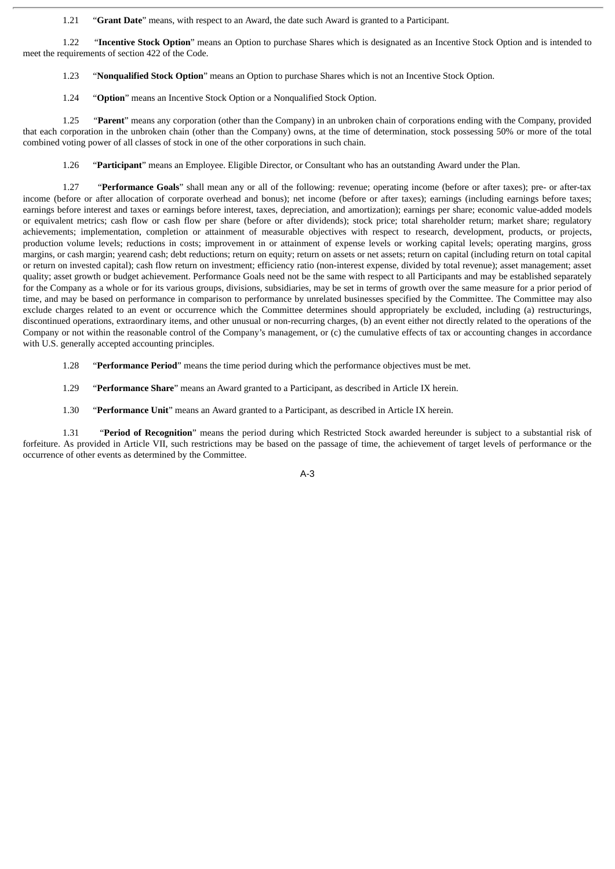1.21 "**Grant Date**" means, with respect to an Award, the date such Award is granted to a Participant.

1.22 "**Incentive Stock Option**" means an Option to purchase Shares which is designated as an Incentive Stock Option and is intended to meet the requirements of section 422 of the Code.

1.23 "**Nonqualified Stock Option**" means an Option to purchase Shares which is not an Incentive Stock Option.

1.24 "**Option**" means an Incentive Stock Option or a Nonqualified Stock Option.

1.25 "**Parent**" means any corporation (other than the Company) in an unbroken chain of corporations ending with the Company, provided that each corporation in the unbroken chain (other than the Company) owns, at the time of determination, stock possessing 50% or more of the total combined voting power of all classes of stock in one of the other corporations in such chain.

1.26 "**Participant**" means an Employee. Eligible Director, or Consultant who has an outstanding Award under the Plan.

1.27 "**Performance Goals**" shall mean any or all of the following: revenue; operating income (before or after taxes); pre- or after-tax income (before or after allocation of corporate overhead and bonus); net income (before or after taxes); earnings (including earnings before taxes; earnings before interest and taxes or earnings before interest, taxes, depreciation, and amortization); earnings per share; economic value-added models or equivalent metrics; cash flow or cash flow per share (before or after dividends); stock price; total shareholder return; market share; regulatory achievements; implementation, completion or attainment of measurable objectives with respect to research, development, products, or projects, production volume levels; reductions in costs; improvement in or attainment of expense levels or working capital levels; operating margins, gross margins, or cash margin; yearend cash; debt reductions; return on equity; return on assets or net assets; return on capital (including return on total capital or return on invested capital); cash flow return on investment; efficiency ratio (non-interest expense, divided by total revenue); asset management; asset quality; asset growth or budget achievement. Performance Goals need not be the same with respect to all Participants and may be established separately for the Company as a whole or for its various groups, divisions, subsidiaries, may be set in terms of growth over the same measure for a prior period of time, and may be based on performance in comparison to performance by unrelated businesses specified by the Committee. The Committee may also exclude charges related to an event or occurrence which the Committee determines should appropriately be excluded, including (a) restructurings, discontinued operations, extraordinary items, and other unusual or non-recurring charges, (b) an event either not directly related to the operations of the Company or not within the reasonable control of the Company's management, or (c) the cumulative effects of tax or accounting changes in accordance with U.S. generally accepted accounting principles.

1.28 "**Performance Period**" means the time period during which the performance objectives must be met.

1.29 "**Performance Share**" means an Award granted to a Participant, as described in Article IX herein.

1.30 "**Performance Unit**" means an Award granted to a Participant, as described in Article IX herein.

1.31 "**Period of Recognition**" means the period during which Restricted Stock awarded hereunder is subject to a substantial risk of forfeiture. As provided in Article VII, such restrictions may be based on the passage of time, the achievement of target levels of performance or the occurrence of other events as determined by the Committee.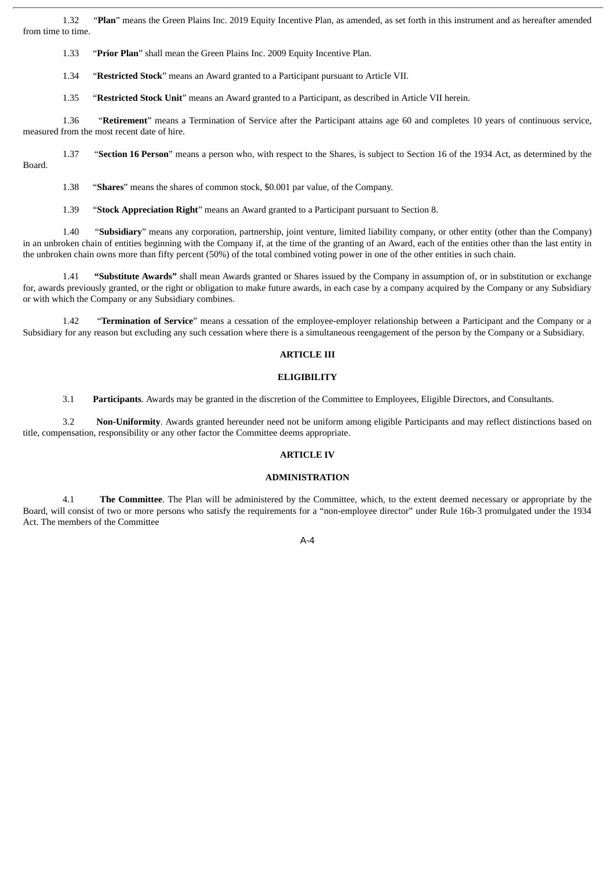1.32 "**Plan**" means the Green Plains Inc. 2019 Equity Incentive Plan, as amended, as set forth in this instrument and as hereafter amended from time to time.

1.33 "**Prior Plan**" shall mean the Green Plains Inc. 2009 Equity Incentive Plan.

1.34 "**Restricted Stock**" means an Award granted to a Participant pursuant to Article VII.

1.35 "**Restricted Stock Unit**" means an Award granted to a Participant, as described in Article VII herein.

1.36 "**Retirement**" means a Termination of Service after the Participant attains age 60 and completes 10 years of continuous service, measured from the most recent date of hire.

1.37 "**Section 16 Person**" means a person who, with respect to the Shares, is subject to Section 16 of the 1934 Act, as determined by the Board.

1.38 "**Shares**" means the shares of common stock, \$0.001 par value, of the Company.

1.39 "**Stock Appreciation Right**" means an Award granted to a Participant pursuant to Section 8.

1.40 "**Subsidiary**" means any corporation, partnership, joint venture, limited liability company, or other entity (other than the Company) in an unbroken chain of entities beginning with the Company if, at the time of the granting of an Award, each of the entities other than the last entity in the unbroken chain owns more than fifty percent (50%) of the total combined voting power in one of the other entities in such chain.

1.41 **"Substitute Awards"** shall mean Awards granted or Shares issued by the Company in assumption of, or in substitution or exchange for, awards previously granted, or the right or obligation to make future awards, in each case by a company acquired by the Company or any Subsidiary or with which the Company or any Subsidiary combines.

1.42 "**Termination of Service**" means a cessation of the employee-employer relationship between a Participant and the Company or a Subsidiary for any reason but excluding any such cessation where there is a simultaneous reengagement of the person by the Company or a Subsidiary.

#### **ARTICLE III**

#### **ELIGIBILITY**

3.1 **Participants**. Awards may be granted in the discretion of the Committee to Employees, Eligible Directors, and Consultants.

3.2 **Non-Uniformity**. Awards granted hereunder need not be uniform among eligible Participants and may reflect distinctions based on title, compensation, responsibility or any other factor the Committee deems appropriate.

#### **ARTICLE IV**

#### **ADMINISTRATION**

4.1 **The Committee**. The Plan will be administered by the Committee, which, to the extent deemed necessary or appropriate by the Board, will consist of two or more persons who satisfy the requirements for a "non-employee director" under Rule 16b-3 promulgated under the 1934 Act. The members of the Committee

 $A - A$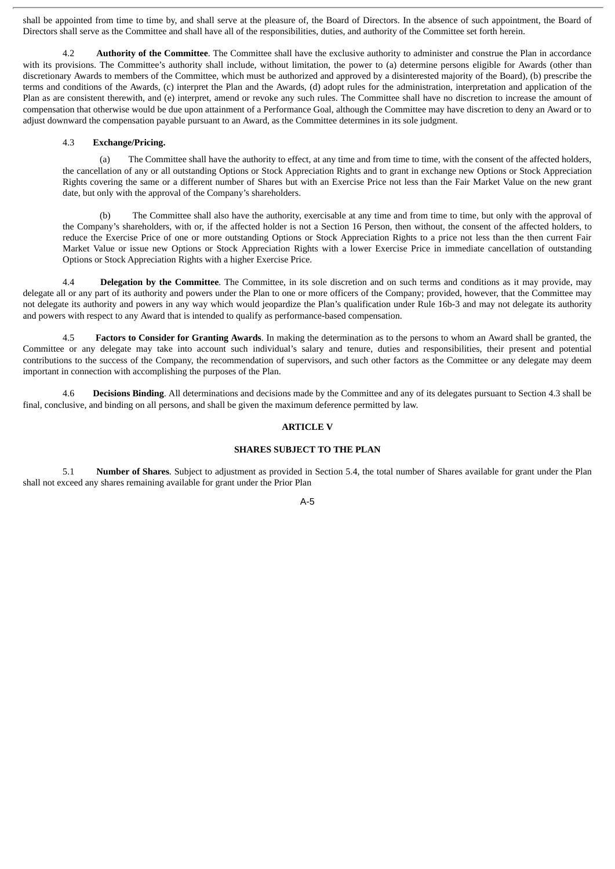shall be appointed from time to time by, and shall serve at the pleasure of, the Board of Directors. In the absence of such appointment, the Board of Directors shall serve as the Committee and shall have all of the responsibilities, duties, and authority of the Committee set forth herein.

4.2 **Authority of the Committee**. The Committee shall have the exclusive authority to administer and construe the Plan in accordance with its provisions. The Committee's authority shall include, without limitation, the power to (a) determine persons eligible for Awards (other than discretionary Awards to members of the Committee, which must be authorized and approved by a disinterested majority of the Board), (b) prescribe the terms and conditions of the Awards, (c) interpret the Plan and the Awards, (d) adopt rules for the administration, interpretation and application of the Plan as are consistent therewith, and (e) interpret, amend or revoke any such rules. The Committee shall have no discretion to increase the amount of compensation that otherwise would be due upon attainment of a Performance Goal, although the Committee may have discretion to deny an Award or to adjust downward the compensation payable pursuant to an Award, as the Committee determines in its sole judgment.

#### 4.3 **Exchange/Pricing.**

(a) The Committee shall have the authority to effect, at any time and from time to time, with the consent of the affected holders, the cancellation of any or all outstanding Options or Stock Appreciation Rights and to grant in exchange new Options or Stock Appreciation Rights covering the same or a different number of Shares but with an Exercise Price not less than the Fair Market Value on the new grant date, but only with the approval of the Company's shareholders.

(b) The Committee shall also have the authority, exercisable at any time and from time to time, but only with the approval of the Company's shareholders, with or, if the affected holder is not a Section 16 Person, then without, the consent of the affected holders, to reduce the Exercise Price of one or more outstanding Options or Stock Appreciation Rights to a price not less than the then current Fair Market Value or issue new Options or Stock Appreciation Rights with a lower Exercise Price in immediate cancellation of outstanding Options or Stock Appreciation Rights with a higher Exercise Price.

4.4 **Delegation by the Committee**. The Committee, in its sole discretion and on such terms and conditions as it may provide, may delegate all or any part of its authority and powers under the Plan to one or more officers of the Company; provided, however, that the Committee may not delegate its authority and powers in any way which would jeopardize the Plan's qualification under Rule 16b-3 and may not delegate its authority and powers with respect to any Award that is intended to qualify as performance-based compensation.

4.5 **Factors to Consider for Granting Awards**. In making the determination as to the persons to whom an Award shall be granted, the Committee or any delegate may take into account such individual's salary and tenure, duties and responsibilities, their present and potential contributions to the success of the Company, the recommendation of supervisors, and such other factors as the Committee or any delegate may deem important in connection with accomplishing the purposes of the Plan.

4.6 **Decisions Binding**. All determinations and decisions made by the Committee and any of its delegates pursuant to Section 4.3 shall be final, conclusive, and binding on all persons, and shall be given the maximum deference permitted by law.

# **ARTICLE V**

#### **SHARES SUBJECT TO THE PLAN**

5.1 **Number of Shares**. Subject to adjustment as provided in Section 5.4, the total number of Shares available for grant under the Plan shall not exceed any shares remaining available for grant under the Prior Plan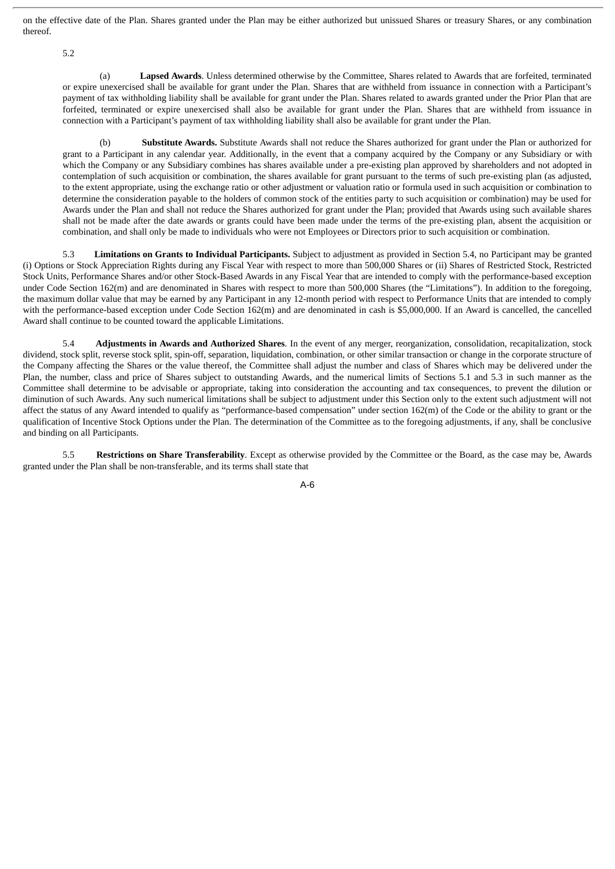on the effective date of the Plan. Shares granted under the Plan may be either authorized but unissued Shares or treasury Shares, or any combination thereof.

5.2

(a) **Lapsed Awards**. Unless determined otherwise by the Committee, Shares related to Awards that are forfeited, terminated or expire unexercised shall be available for grant under the Plan. Shares that are withheld from issuance in connection with a Participant's payment of tax withholding liability shall be available for grant under the Plan. Shares related to awards granted under the Prior Plan that are forfeited, terminated or expire unexercised shall also be available for grant under the Plan. Shares that are withheld from issuance in connection with a Participant's payment of tax withholding liability shall also be available for grant under the Plan.

(b) **Substitute Awards.** Substitute Awards shall not reduce the Shares authorized for grant under the Plan or authorized for grant to a Participant in any calendar year. Additionally, in the event that a company acquired by the Company or any Subsidiary or with which the Company or any Subsidiary combines has shares available under a pre-existing plan approved by shareholders and not adopted in contemplation of such acquisition or combination, the shares available for grant pursuant to the terms of such pre-existing plan (as adjusted, to the extent appropriate, using the exchange ratio or other adjustment or valuation ratio or formula used in such acquisition or combination to determine the consideration payable to the holders of common stock of the entities party to such acquisition or combination) may be used for Awards under the Plan and shall not reduce the Shares authorized for grant under the Plan; provided that Awards using such available shares shall not be made after the date awards or grants could have been made under the terms of the pre-existing plan, absent the acquisition or combination, and shall only be made to individuals who were not Employees or Directors prior to such acquisition or combination.

5.3 **Limitations on Grants to Individual Participants.** Subject to adjustment as provided in Section 5.4, no Participant may be granted (i) Options or Stock Appreciation Rights during any Fiscal Year with respect to more than 500,000 Shares or (ii) Shares of Restricted Stock, Restricted Stock Units, Performance Shares and/or other Stock-Based Awards in any Fiscal Year that are intended to comply with the performance-based exception under Code Section 162(m) and are denominated in Shares with respect to more than 500,000 Shares (the "Limitations"). In addition to the foregoing, the maximum dollar value that may be earned by any Participant in any 12-month period with respect to Performance Units that are intended to comply with the performance-based exception under Code Section 162(m) and are denominated in cash is \$5,000,000. If an Award is cancelled, the cancelled Award shall continue to be counted toward the applicable Limitations.

5.4 **Adjustments in Awards and Authorized Shares**. In the event of any merger, reorganization, consolidation, recapitalization, stock dividend, stock split, reverse stock split, spin-off, separation, liquidation, combination, or other similar transaction or change in the corporate structure of the Company affecting the Shares or the value thereof, the Committee shall adjust the number and class of Shares which may be delivered under the Plan, the number, class and price of Shares subject to outstanding Awards, and the numerical limits of Sections 5.1 and 5.3 in such manner as the Committee shall determine to be advisable or appropriate, taking into consideration the accounting and tax consequences, to prevent the dilution or diminution of such Awards. Any such numerical limitations shall be subject to adjustment under this Section only to the extent such adjustment will not affect the status of any Award intended to qualify as "performance-based compensation" under section 162(m) of the Code or the ability to grant or the qualification of Incentive Stock Options under the Plan. The determination of the Committee as to the foregoing adjustments, if any, shall be conclusive and binding on all Participants.

5.5 **Restrictions on Share Transferability**. Except as otherwise provided by the Committee or the Board, as the case may be, Awards granted under the Plan shall be non-transferable, and its terms shall state that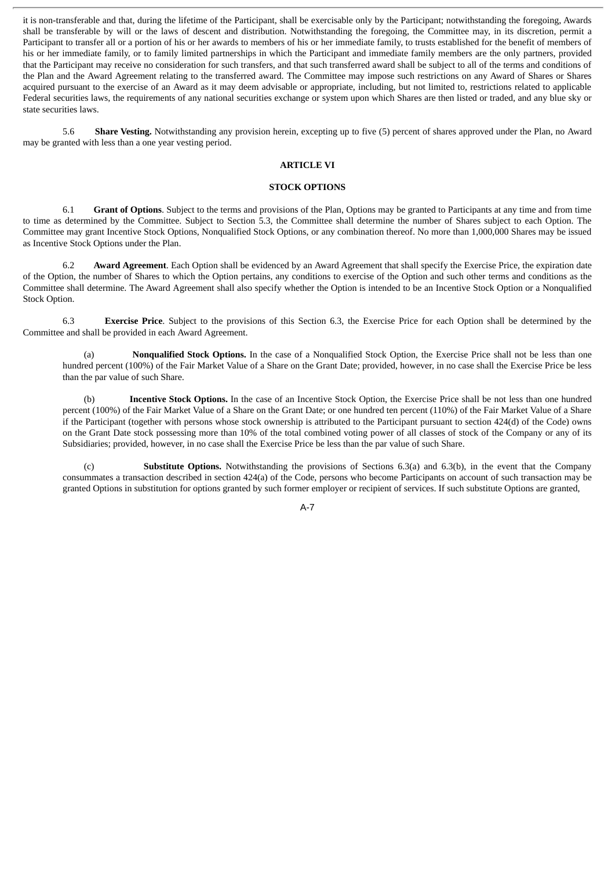it is non-transferable and that, during the lifetime of the Participant, shall be exercisable only by the Participant; notwithstanding the foregoing, Awards shall be transferable by will or the laws of descent and distribution. Notwithstanding the foregoing, the Committee may, in its discretion, permit a Participant to transfer all or a portion of his or her awards to members of his or her immediate family, to trusts established for the benefit of members of his or her immediate family, or to family limited partnerships in which the Participant and immediate family members are the only partners, provided that the Participant may receive no consideration for such transfers, and that such transferred award shall be subject to all of the terms and conditions of the Plan and the Award Agreement relating to the transferred award. The Committee may impose such restrictions on any Award of Shares or Shares acquired pursuant to the exercise of an Award as it may deem advisable or appropriate, including, but not limited to, restrictions related to applicable Federal securities laws, the requirements of any national securities exchange or system upon which Shares are then listed or traded, and any blue sky or state securities laws.

5.6 **Share Vesting.** Notwithstanding any provision herein, excepting up to five (5) percent of shares approved under the Plan, no Award may be granted with less than a one year vesting period.

#### **ARTICLE VI**

#### **STOCK OPTIONS**

6.1 **Grant of Options**. Subject to the terms and provisions of the Plan, Options may be granted to Participants at any time and from time to time as determined by the Committee. Subject to Section 5.3, the Committee shall determine the number of Shares subject to each Option. The Committee may grant Incentive Stock Options, Nonqualified Stock Options, or any combination thereof. No more than 1,000,000 Shares may be issued as Incentive Stock Options under the Plan.

6.2 **Award Agreement**. Each Option shall be evidenced by an Award Agreement that shall specify the Exercise Price, the expiration date of the Option, the number of Shares to which the Option pertains, any conditions to exercise of the Option and such other terms and conditions as the Committee shall determine. The Award Agreement shall also specify whether the Option is intended to be an Incentive Stock Option or a Nonqualified Stock Option.

6.3 **Exercise Price**. Subject to the provisions of this Section 6.3, the Exercise Price for each Option shall be determined by the Committee and shall be provided in each Award Agreement.

(a) **Nonqualified Stock Options.** In the case of a Nonqualified Stock Option, the Exercise Price shall not be less than one hundred percent (100%) of the Fair Market Value of a Share on the Grant Date; provided, however, in no case shall the Exercise Price be less than the par value of such Share.

(b) **Incentive Stock Options.** In the case of an Incentive Stock Option, the Exercise Price shall be not less than one hundred percent (100%) of the Fair Market Value of a Share on the Grant Date; or one hundred ten percent (110%) of the Fair Market Value of a Share if the Participant (together with persons whose stock ownership is attributed to the Participant pursuant to section 424(d) of the Code) owns on the Grant Date stock possessing more than 10% of the total combined voting power of all classes of stock of the Company or any of its Subsidiaries; provided, however, in no case shall the Exercise Price be less than the par value of such Share.

(c) **Substitute Options.** Notwithstanding the provisions of Sections 6.3(a) and 6.3(b), in the event that the Company consummates a transaction described in section 424(a) of the Code, persons who become Participants on account of such transaction may be granted Options in substitution for options granted by such former employer or recipient of services. If such substitute Options are granted,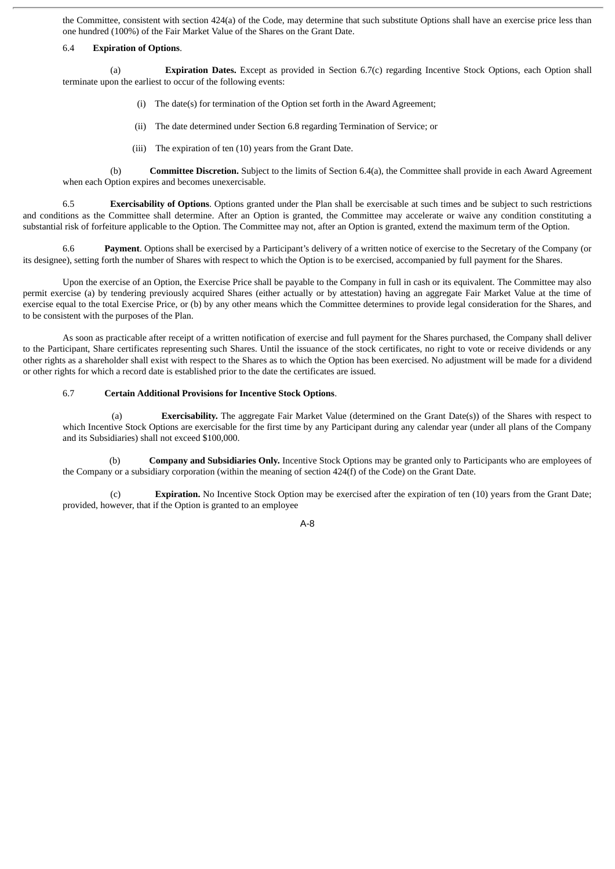the Committee, consistent with section 424(a) of the Code, may determine that such substitute Options shall have an exercise price less than one hundred (100%) of the Fair Market Value of the Shares on the Grant Date.

#### 6.4 **Expiration of Options**.

(a) **Expiration Dates.** Except as provided in Section 6.7(c) regarding Incentive Stock Options, each Option shall terminate upon the earliest to occur of the following events:

- (i) The date(s) for termination of the Option set forth in the Award Agreement;
- (ii) The date determined under Section 6.8 regarding Termination of Service; or
- (iii) The expiration of ten (10) years from the Grant Date.

(b) **Committee Discretion.** Subject to the limits of Section 6.4(a), the Committee shall provide in each Award Agreement when each Option expires and becomes unexercisable.

6.5 **Exercisability of Options**. Options granted under the Plan shall be exercisable at such times and be subject to such restrictions and conditions as the Committee shall determine. After an Option is granted, the Committee may accelerate or waive any condition constituting a substantial risk of forfeiture applicable to the Option. The Committee may not, after an Option is granted, extend the maximum term of the Option.

6.6 **Payment**. Options shall be exercised by a Participant's delivery of a written notice of exercise to the Secretary of the Company (or its designee), setting forth the number of Shares with respect to which the Option is to be exercised, accompanied by full payment for the Shares.

Upon the exercise of an Option, the Exercise Price shall be payable to the Company in full in cash or its equivalent. The Committee may also permit exercise (a) by tendering previously acquired Shares (either actually or by attestation) having an aggregate Fair Market Value at the time of exercise equal to the total Exercise Price, or (b) by any other means which the Committee determines to provide legal consideration for the Shares, and to be consistent with the purposes of the Plan.

As soon as practicable after receipt of a written notification of exercise and full payment for the Shares purchased, the Company shall deliver to the Participant, Share certificates representing such Shares. Until the issuance of the stock certificates, no right to vote or receive dividends or any other rights as a shareholder shall exist with respect to the Shares as to which the Option has been exercised. No adjustment will be made for a dividend or other rights for which a record date is established prior to the date the certificates are issued.

#### 6.7 **Certain Additional Provisions for Incentive Stock Options**.

(a) **Exercisability.** The aggregate Fair Market Value (determined on the Grant Date(s)) of the Shares with respect to which Incentive Stock Options are exercisable for the first time by any Participant during any calendar year (under all plans of the Company and its Subsidiaries) shall not exceed \$100,000.

(b) **Company and Subsidiaries Only.** Incentive Stock Options may be granted only to Participants who are employees of the Company or a subsidiary corporation (within the meaning of section 424(f) of the Code) on the Grant Date.

(c) **Expiration.** No Incentive Stock Option may be exercised after the expiration of ten (10) years from the Grant Date; provided, however, that if the Option is granted to an employee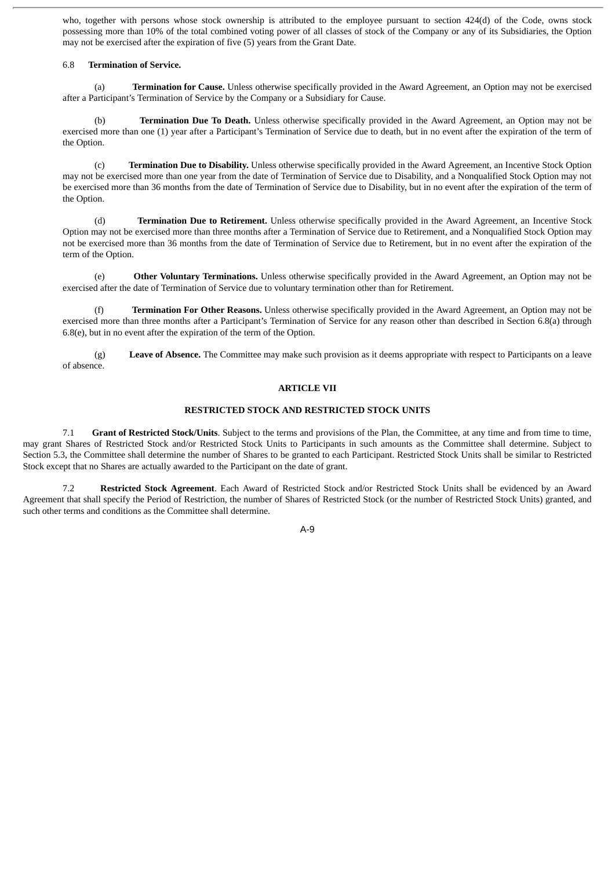who, together with persons whose stock ownership is attributed to the employee pursuant to section 424(d) of the Code, owns stock possessing more than 10% of the total combined voting power of all classes of stock of the Company or any of its Subsidiaries, the Option may not be exercised after the expiration of five (5) years from the Grant Date.

#### 6.8 **Termination of Service.**

(a) **Termination for Cause.** Unless otherwise specifically provided in the Award Agreement, an Option may not be exercised after a Participant's Termination of Service by the Company or a Subsidiary for Cause.

(b) **Termination Due To Death.** Unless otherwise specifically provided in the Award Agreement, an Option may not be exercised more than one (1) year after a Participant's Termination of Service due to death, but in no event after the expiration of the term of the Option.

(c) **Termination Due to Disability.** Unless otherwise specifically provided in the Award Agreement, an Incentive Stock Option may not be exercised more than one year from the date of Termination of Service due to Disability, and a Nonqualified Stock Option may not be exercised more than 36 months from the date of Termination of Service due to Disability, but in no event after the expiration of the term of the Option.

(d) **Termination Due to Retirement.** Unless otherwise specifically provided in the Award Agreement, an Incentive Stock Option may not be exercised more than three months after a Termination of Service due to Retirement, and a Nonqualified Stock Option may not be exercised more than 36 months from the date of Termination of Service due to Retirement, but in no event after the expiration of the term of the Option.

(e) **Other Voluntary Terminations.** Unless otherwise specifically provided in the Award Agreement, an Option may not be exercised after the date of Termination of Service due to voluntary termination other than for Retirement.

(f) **Termination For Other Reasons.** Unless otherwise specifically provided in the Award Agreement, an Option may not be exercised more than three months after a Participant's Termination of Service for any reason other than described in Section 6.8(a) through 6.8(e), but in no event after the expiration of the term of the Option.

(g) **Leave of Absence.** The Committee may make such provision as it deems appropriate with respect to Participants on a leave of absence.

#### **ARTICLE VII**

#### **RESTRICTED STOCK AND RESTRICTED STOCK UNITS**

7.1 **Grant of Restricted Stock/Units**. Subject to the terms and provisions of the Plan, the Committee, at any time and from time to time, may grant Shares of Restricted Stock and/or Restricted Stock Units to Participants in such amounts as the Committee shall determine. Subject to Section 5.3, the Committee shall determine the number of Shares to be granted to each Participant. Restricted Stock Units shall be similar to Restricted Stock except that no Shares are actually awarded to the Participant on the date of grant.

7.2 **Restricted Stock Agreement**. Each Award of Restricted Stock and/or Restricted Stock Units shall be evidenced by an Award Agreement that shall specify the Period of Restriction, the number of Shares of Restricted Stock (or the number of Restricted Stock Units) granted, and such other terms and conditions as the Committee shall determine.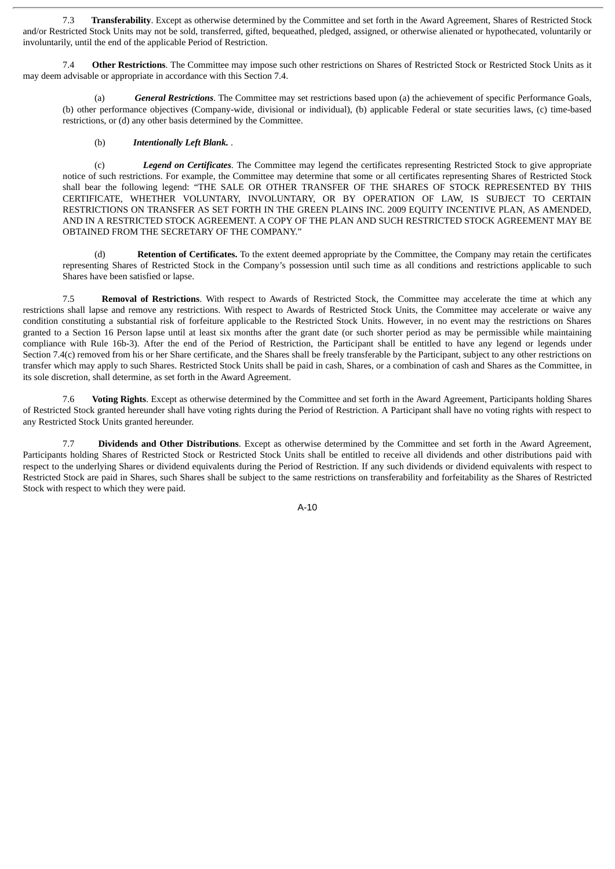7.3 **Transferability**. Except as otherwise determined by the Committee and set forth in the Award Agreement, Shares of Restricted Stock and/or Restricted Stock Units may not be sold, transferred, gifted, bequeathed, pledged, assigned, or otherwise alienated or hypothecated, voluntarily or involuntarily, until the end of the applicable Period of Restriction.

7.4 **Other Restrictions**. The Committee may impose such other restrictions on Shares of Restricted Stock or Restricted Stock Units as it may deem advisable or appropriate in accordance with this Section 7.4.

(a) *General Restrictions*. The Committee may set restrictions based upon (a) the achievement of specific Performance Goals, (b) other performance objectives (Company-wide, divisional or individual), (b) applicable Federal or state securities laws, (c) time-based restrictions, or (d) any other basis determined by the Committee.

#### (b) *Intentionally Left Blank.* .

(c) *Legend on Certificates*. The Committee may legend the certificates representing Restricted Stock to give appropriate notice of such restrictions. For example, the Committee may determine that some or all certificates representing Shares of Restricted Stock shall bear the following legend: "THE SALE OR OTHER TRANSFER OF THE SHARES OF STOCK REPRESENTED BY THIS CERTIFICATE, WHETHER VOLUNTARY, INVOLUNTARY, OR BY OPERATION OF LAW, IS SUBJECT TO CERTAIN RESTRICTIONS ON TRANSFER AS SET FORTH IN THE GREEN PLAINS INC. 2009 EQUITY INCENTIVE PLAN, AS AMENDED, AND IN A RESTRICTED STOCK AGREEMENT. A COPY OF THE PLAN AND SUCH RESTRICTED STOCK AGREEMENT MAY BE OBTAINED FROM THE SECRETARY OF THE COMPANY."

Retention of Certificates. To the extent deemed appropriate by the Committee, the Company may retain the certificates representing Shares of Restricted Stock in the Company's possession until such time as all conditions and restrictions applicable to such Shares have been satisfied or lapse.

7.5 **Removal of Restrictions**. With respect to Awards of Restricted Stock, the Committee may accelerate the time at which any restrictions shall lapse and remove any restrictions. With respect to Awards of Restricted Stock Units, the Committee may accelerate or waive any condition constituting a substantial risk of forfeiture applicable to the Restricted Stock Units. However, in no event may the restrictions on Shares granted to a Section 16 Person lapse until at least six months after the grant date (or such shorter period as may be permissible while maintaining compliance with Rule 16b-3). After the end of the Period of Restriction, the Participant shall be entitled to have any legend or legends under Section 7.4(c) removed from his or her Share certificate, and the Shares shall be freely transferable by the Participant, subject to any other restrictions on transfer which may apply to such Shares. Restricted Stock Units shall be paid in cash, Shares, or a combination of cash and Shares as the Committee, in its sole discretion, shall determine, as set forth in the Award Agreement.

7.6 **Voting Rights**. Except as otherwise determined by the Committee and set forth in the Award Agreement, Participants holding Shares of Restricted Stock granted hereunder shall have voting rights during the Period of Restriction. A Participant shall have no voting rights with respect to any Restricted Stock Units granted hereunder.

7.7 **Dividends and Other Distributions**. Except as otherwise determined by the Committee and set forth in the Award Agreement, Participants holding Shares of Restricted Stock or Restricted Stock Units shall be entitled to receive all dividends and other distributions paid with respect to the underlying Shares or dividend equivalents during the Period of Restriction. If any such dividends or dividend equivalents with respect to Restricted Stock are paid in Shares, such Shares shall be subject to the same restrictions on transferability and forfeitability as the Shares of Restricted Stock with respect to which they were paid.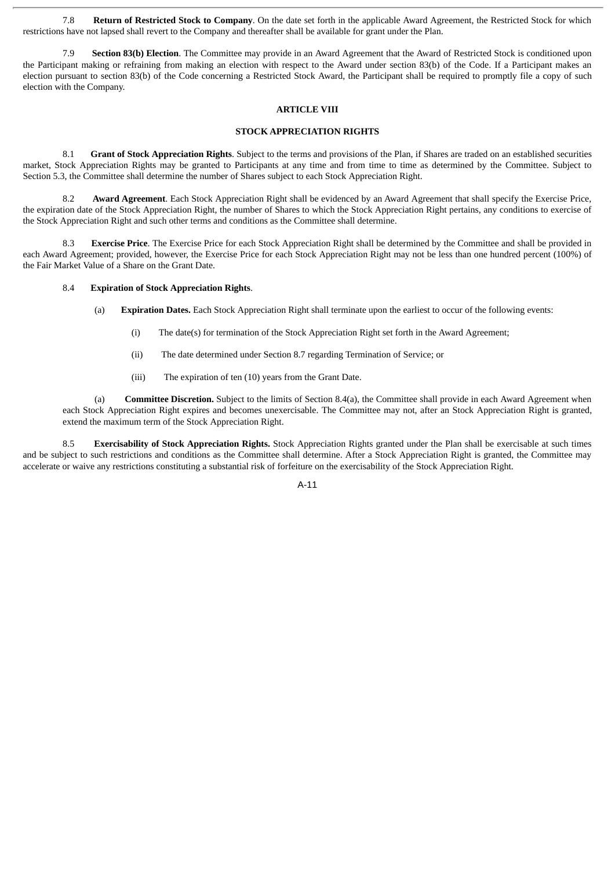7.8 **Return of Restricted Stock to Company**. On the date set forth in the applicable Award Agreement, the Restricted Stock for which restrictions have not lapsed shall revert to the Company and thereafter shall be available for grant under the Plan.

7.9 **Section 83(b) Election**. The Committee may provide in an Award Agreement that the Award of Restricted Stock is conditioned upon the Participant making or refraining from making an election with respect to the Award under section 83(b) of the Code. If a Participant makes an election pursuant to section 83(b) of the Code concerning a Restricted Stock Award, the Participant shall be required to promptly file a copy of such election with the Company.

# **ARTICLE VIII**

# **STOCK APPRECIATION RIGHTS**

8.1 **Grant of Stock Appreciation Rights**. Subject to the terms and provisions of the Plan, if Shares are traded on an established securities market, Stock Appreciation Rights may be granted to Participants at any time and from time to time as determined by the Committee. Subject to Section 5.3, the Committee shall determine the number of Shares subject to each Stock Appreciation Right.

8.2 **Award Agreement**. Each Stock Appreciation Right shall be evidenced by an Award Agreement that shall specify the Exercise Price, the expiration date of the Stock Appreciation Right, the number of Shares to which the Stock Appreciation Right pertains, any conditions to exercise of the Stock Appreciation Right and such other terms and conditions as the Committee shall determine.

8.3 **Exercise Price**. The Exercise Price for each Stock Appreciation Right shall be determined by the Committee and shall be provided in each Award Agreement; provided, however, the Exercise Price for each Stock Appreciation Right may not be less than one hundred percent (100%) of the Fair Market Value of a Share on the Grant Date.

# 8.4 **Expiration of Stock Appreciation Rights**.

- (a) **Expiration Dates.** Each Stock Appreciation Right shall terminate upon the earliest to occur of the following events:
	- (i) The date(s) for termination of the Stock Appreciation Right set forth in the Award Agreement;
	- (ii) The date determined under Section 8.7 regarding Termination of Service; or
	- (iii) The expiration of ten (10) years from the Grant Date.

(a) **Committee Discretion.** Subject to the limits of Section 8.4(a), the Committee shall provide in each Award Agreement when each Stock Appreciation Right expires and becomes unexercisable. The Committee may not, after an Stock Appreciation Right is granted, extend the maximum term of the Stock Appreciation Right.

8.5 **Exercisability of Stock Appreciation Rights.** Stock Appreciation Rights granted under the Plan shall be exercisable at such times and be subject to such restrictions and conditions as the Committee shall determine. After a Stock Appreciation Right is granted, the Committee may accelerate or waive any restrictions constituting a substantial risk of forfeiture on the exercisability of the Stock Appreciation Right.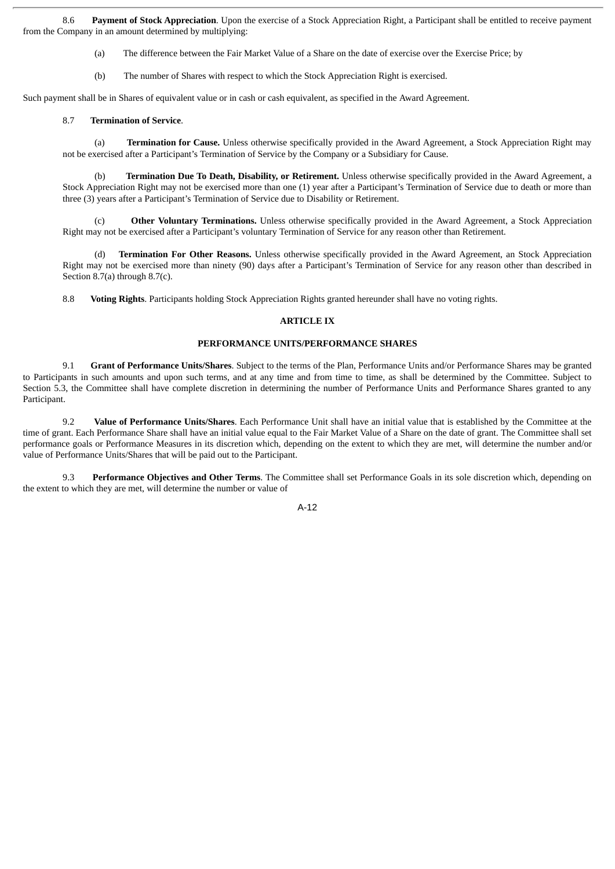8.6 **Payment of Stock Appreciation**. Upon the exercise of a Stock Appreciation Right, a Participant shall be entitled to receive payment from the Company in an amount determined by multiplying:

- (a) The difference between the Fair Market Value of a Share on the date of exercise over the Exercise Price; by
- (b) The number of Shares with respect to which the Stock Appreciation Right is exercised.

Such payment shall be in Shares of equivalent value or in cash or cash equivalent, as specified in the Award Agreement.

#### 8.7 **Termination of Service**.

(a) **Termination for Cause.** Unless otherwise specifically provided in the Award Agreement, a Stock Appreciation Right may not be exercised after a Participant's Termination of Service by the Company or a Subsidiary for Cause.

(b) **Termination Due To Death, Disability, or Retirement.** Unless otherwise specifically provided in the Award Agreement, a Stock Appreciation Right may not be exercised more than one (1) year after a Participant's Termination of Service due to death or more than three (3) years after a Participant's Termination of Service due to Disability or Retirement.

(c) **Other Voluntary Terminations.** Unless otherwise specifically provided in the Award Agreement, a Stock Appreciation Right may not be exercised after a Participant's voluntary Termination of Service for any reason other than Retirement.

(d) **Termination For Other Reasons.** Unless otherwise specifically provided in the Award Agreement, an Stock Appreciation Right may not be exercised more than ninety (90) days after a Participant's Termination of Service for any reason other than described in Section 8.7(a) through 8.7(c).

8.8 **Voting Rights**. Participants holding Stock Appreciation Rights granted hereunder shall have no voting rights.

#### **ARTICLE IX**

#### **PERFORMANCE UNITS/PERFORMANCE SHARES**

9.1 **Grant of Performance Units/Shares**. Subject to the terms of the Plan, Performance Units and/or Performance Shares may be granted to Participants in such amounts and upon such terms, and at any time and from time to time, as shall be determined by the Committee. Subject to Section 5.3, the Committee shall have complete discretion in determining the number of Performance Units and Performance Shares granted to any Participant.

9.2 **Value of Performance Units/Shares**. Each Performance Unit shall have an initial value that is established by the Committee at the time of grant. Each Performance Share shall have an initial value equal to the Fair Market Value of a Share on the date of grant. The Committee shall set performance goals or Performance Measures in its discretion which, depending on the extent to which they are met, will determine the number and/or value of Performance Units/Shares that will be paid out to the Participant.

9.3 **Performance Objectives and Other Terms**. The Committee shall set Performance Goals in its sole discretion which, depending on the extent to which they are met, will determine the number or value of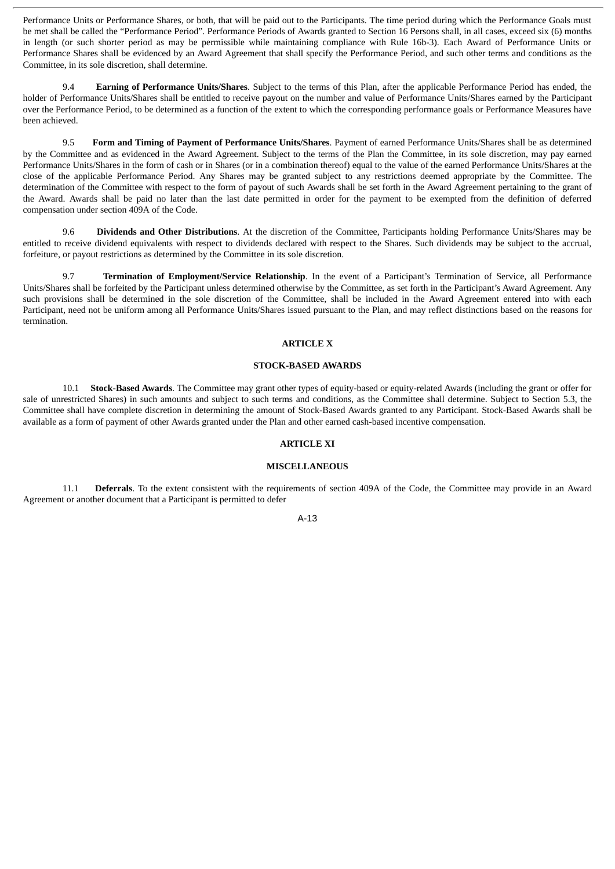Performance Units or Performance Shares, or both, that will be paid out to the Participants. The time period during which the Performance Goals must be met shall be called the "Performance Period". Performance Periods of Awards granted to Section 16 Persons shall, in all cases, exceed six (6) months in length (or such shorter period as may be permissible while maintaining compliance with Rule 16b-3). Each Award of Performance Units or Performance Shares shall be evidenced by an Award Agreement that shall specify the Performance Period, and such other terms and conditions as the Committee, in its sole discretion, shall determine.

9.4 **Earning of Performance Units/Shares**. Subject to the terms of this Plan, after the applicable Performance Period has ended, the holder of Performance Units/Shares shall be entitled to receive payout on the number and value of Performance Units/Shares earned by the Participant over the Performance Period, to be determined as a function of the extent to which the corresponding performance goals or Performance Measures have been achieved.

9.5 **Form and Timing of Payment of Performance Units/Shares**. Payment of earned Performance Units/Shares shall be as determined by the Committee and as evidenced in the Award Agreement. Subject to the terms of the Plan the Committee, in its sole discretion, may pay earned Performance Units/Shares in the form of cash or in Shares (or in a combination thereof) equal to the value of the earned Performance Units/Shares at the close of the applicable Performance Period. Any Shares may be granted subject to any restrictions deemed appropriate by the Committee. The determination of the Committee with respect to the form of payout of such Awards shall be set forth in the Award Agreement pertaining to the grant of the Award. Awards shall be paid no later than the last date permitted in order for the payment to be exempted from the definition of deferred compensation under section 409A of the Code.

9.6 **Dividends and Other Distributions**. At the discretion of the Committee, Participants holding Performance Units/Shares may be entitled to receive dividend equivalents with respect to dividends declared with respect to the Shares. Such dividends may be subject to the accrual, forfeiture, or payout restrictions as determined by the Committee in its sole discretion.

9.7 **Termination of Employment/Service Relationship**. In the event of a Participant's Termination of Service, all Performance Units/Shares shall be forfeited by the Participant unless determined otherwise by the Committee, as set forth in the Participant's Award Agreement. Any such provisions shall be determined in the sole discretion of the Committee, shall be included in the Award Agreement entered into with each Participant, need not be uniform among all Performance Units/Shares issued pursuant to the Plan, and may reflect distinctions based on the reasons for termination.

#### **ARTICLE X**

#### **STOCK-BASED AWARDS**

10.1 **Stock-Based Awards**. The Committee may grant other types of equity-based or equity-related Awards (including the grant or offer for sale of unrestricted Shares) in such amounts and subject to such terms and conditions, as the Committee shall determine. Subject to Section 5.3, the Committee shall have complete discretion in determining the amount of Stock-Based Awards granted to any Participant. Stock-Based Awards shall be available as a form of payment of other Awards granted under the Plan and other earned cash-based incentive compensation.

#### **ARTICLE XI**

#### **MISCELLANEOUS**

11.1 **Deferrals**. To the extent consistent with the requirements of section 409A of the Code, the Committee may provide in an Award Agreement or another document that a Participant is permitted to defer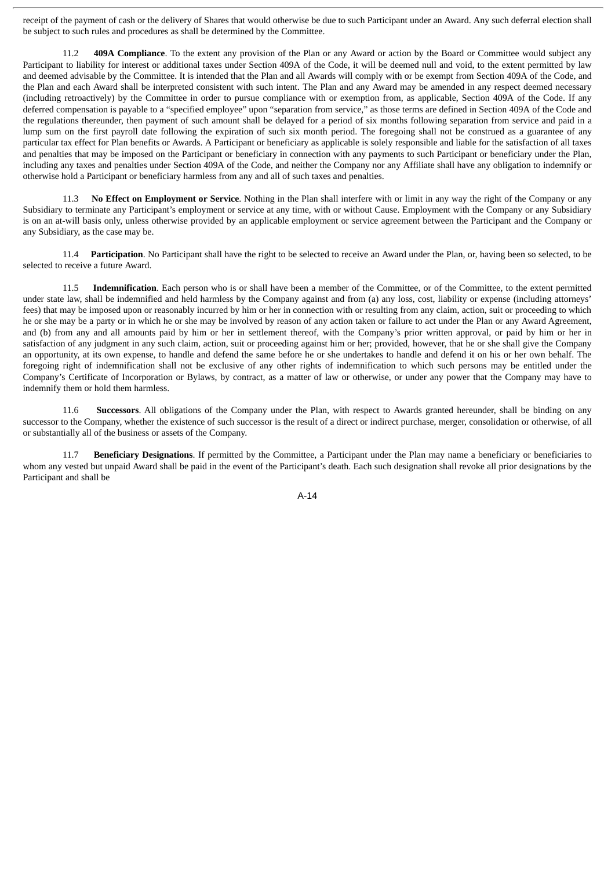receipt of the payment of cash or the delivery of Shares that would otherwise be due to such Participant under an Award. Any such deferral election shall be subject to such rules and procedures as shall be determined by the Committee.

11.2 **409A Compliance**. To the extent any provision of the Plan or any Award or action by the Board or Committee would subject any Participant to liability for interest or additional taxes under Section 409A of the Code, it will be deemed null and void, to the extent permitted by law and deemed advisable by the Committee. It is intended that the Plan and all Awards will comply with or be exempt from Section 409A of the Code, and the Plan and each Award shall be interpreted consistent with such intent. The Plan and any Award may be amended in any respect deemed necessary (including retroactively) by the Committee in order to pursue compliance with or exemption from, as applicable, Section 409A of the Code. If any deferred compensation is payable to a "specified employee" upon "separation from service," as those terms are defined in Section 409A of the Code and the regulations thereunder, then payment of such amount shall be delayed for a period of six months following separation from service and paid in a lump sum on the first payroll date following the expiration of such six month period. The foregoing shall not be construed as a guarantee of any particular tax effect for Plan benefits or Awards. A Participant or beneficiary as applicable is solely responsible and liable for the satisfaction of all taxes and penalties that may be imposed on the Participant or beneficiary in connection with any payments to such Participant or beneficiary under the Plan, including any taxes and penalties under Section 409A of the Code, and neither the Company nor any Affiliate shall have any obligation to indemnify or otherwise hold a Participant or beneficiary harmless from any and all of such taxes and penalties.

11.3 **No Effect on Employment or Service**. Nothing in the Plan shall interfere with or limit in any way the right of the Company or any Subsidiary to terminate any Participant's employment or service at any time, with or without Cause. Employment with the Company or any Subsidiary is on an at-will basis only, unless otherwise provided by an applicable employment or service agreement between the Participant and the Company or any Subsidiary, as the case may be.

11.4 **Participation**. No Participant shall have the right to be selected to receive an Award under the Plan, or, having been so selected, to be selected to receive a future Award.

11.5 **Indemnification**. Each person who is or shall have been a member of the Committee, or of the Committee, to the extent permitted under state law, shall be indemnified and held harmless by the Company against and from (a) any loss, cost, liability or expense (including attorneys' fees) that may be imposed upon or reasonably incurred by him or her in connection with or resulting from any claim, action, suit or proceeding to which he or she may be a party or in which he or she may be involved by reason of any action taken or failure to act under the Plan or any Award Agreement, and (b) from any and all amounts paid by him or her in settlement thereof, with the Company's prior written approval, or paid by him or her in satisfaction of any judgment in any such claim, action, suit or proceeding against him or her; provided, however, that he or she shall give the Company an opportunity, at its own expense, to handle and defend the same before he or she undertakes to handle and defend it on his or her own behalf. The foregoing right of indemnification shall not be exclusive of any other rights of indemnification to which such persons may be entitled under the Company's Certificate of Incorporation or Bylaws, by contract, as a matter of law or otherwise, or under any power that the Company may have to indemnify them or hold them harmless.

11.6 **Successors**. All obligations of the Company under the Plan, with respect to Awards granted hereunder, shall be binding on any successor to the Company, whether the existence of such successor is the result of a direct or indirect purchase, merger, consolidation or otherwise, of all or substantially all of the business or assets of the Company.

11.7 **Beneficiary Designations**. If permitted by the Committee, a Participant under the Plan may name a beneficiary or beneficiaries to whom any vested but unpaid Award shall be paid in the event of the Participant's death. Each such designation shall revoke all prior designations by the Participant and shall be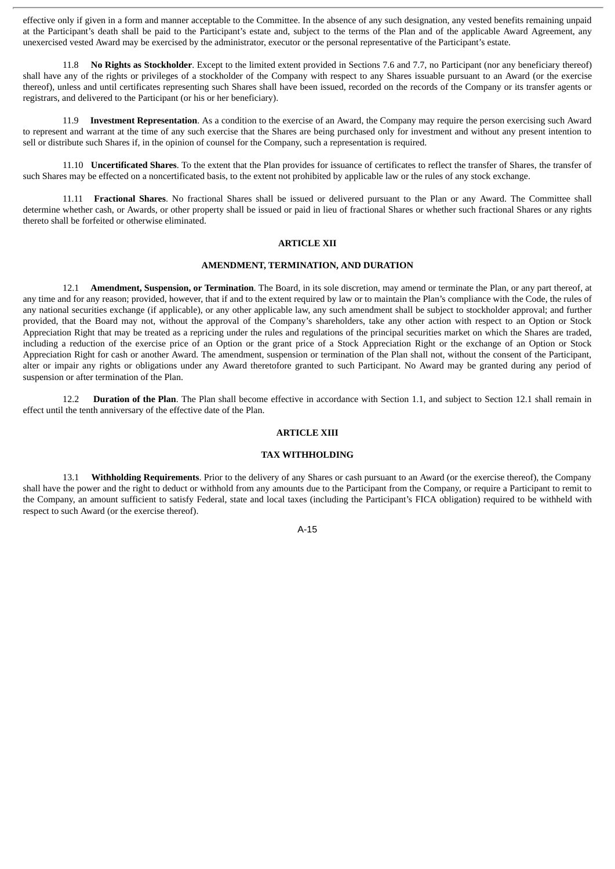effective only if given in a form and manner acceptable to the Committee. In the absence of any such designation, any vested benefits remaining unpaid at the Participant's death shall be paid to the Participant's estate and, subject to the terms of the Plan and of the applicable Award Agreement, any unexercised vested Award may be exercised by the administrator, executor or the personal representative of the Participant's estate.

11.8 **No Rights as Stockholder**. Except to the limited extent provided in Sections 7.6 and 7.7, no Participant (nor any beneficiary thereof) shall have any of the rights or privileges of a stockholder of the Company with respect to any Shares issuable pursuant to an Award (or the exercise thereof), unless and until certificates representing such Shares shall have been issued, recorded on the records of the Company or its transfer agents or registrars, and delivered to the Participant (or his or her beneficiary).

11.9 **Investment Representation**. As a condition to the exercise of an Award, the Company may require the person exercising such Award to represent and warrant at the time of any such exercise that the Shares are being purchased only for investment and without any present intention to sell or distribute such Shares if, in the opinion of counsel for the Company, such a representation is required.

11.10 **Uncertificated Shares**. To the extent that the Plan provides for issuance of certificates to reflect the transfer of Shares, the transfer of such Shares may be effected on a noncertificated basis, to the extent not prohibited by applicable law or the rules of any stock exchange.

11.11 **Fractional Shares**. No fractional Shares shall be issued or delivered pursuant to the Plan or any Award. The Committee shall determine whether cash, or Awards, or other property shall be issued or paid in lieu of fractional Shares or whether such fractional Shares or any rights thereto shall be forfeited or otherwise eliminated.

#### **ARTICLE XII**

#### **AMENDMENT, TERMINATION, AND DURATION**

12.1 **Amendment, Suspension, or Termination**. The Board, in its sole discretion, may amend or terminate the Plan, or any part thereof, at any time and for any reason; provided, however, that if and to the extent required by law or to maintain the Plan's compliance with the Code, the rules of any national securities exchange (if applicable), or any other applicable law, any such amendment shall be subject to stockholder approval; and further provided, that the Board may not, without the approval of the Company's shareholders, take any other action with respect to an Option or Stock Appreciation Right that may be treated as a repricing under the rules and regulations of the principal securities market on which the Shares are traded, including a reduction of the exercise price of an Option or the grant price of a Stock Appreciation Right or the exchange of an Option or Stock Appreciation Right for cash or another Award. The amendment, suspension or termination of the Plan shall not, without the consent of the Participant, alter or impair any rights or obligations under any Award theretofore granted to such Participant. No Award may be granted during any period of suspension or after termination of the Plan.

12.2 **Duration of the Plan**. The Plan shall become effective in accordance with Section 1.1, and subject to Section 12.1 shall remain in effect until the tenth anniversary of the effective date of the Plan.

### **ARTICLE XIII**

#### **TAX WITHHOLDING**

13.1 **Withholding Requirements**. Prior to the delivery of any Shares or cash pursuant to an Award (or the exercise thereof), the Company shall have the power and the right to deduct or withhold from any amounts due to the Participant from the Company, or require a Participant to remit to the Company, an amount sufficient to satisfy Federal, state and local taxes (including the Participant's FICA obligation) required to be withheld with respect to such Award (or the exercise thereof).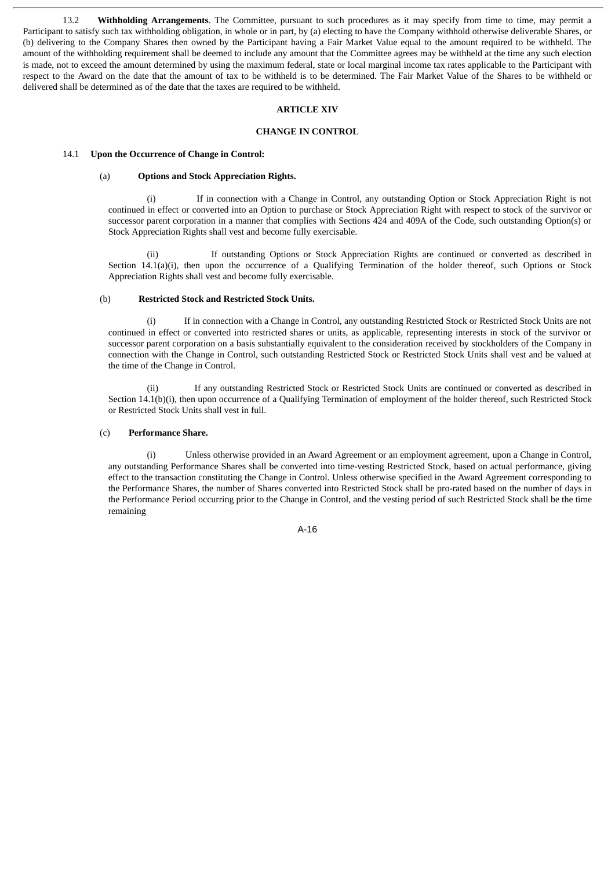13.2 **Withholding Arrangements**. The Committee, pursuant to such procedures as it may specify from time to time, may permit a Participant to satisfy such tax withholding obligation, in whole or in part, by (a) electing to have the Company withhold otherwise deliverable Shares, or (b) delivering to the Company Shares then owned by the Participant having a Fair Market Value equal to the amount required to be withheld. The amount of the withholding requirement shall be deemed to include any amount that the Committee agrees may be withheld at the time any such election is made, not to exceed the amount determined by using the maximum federal, state or local marginal income tax rates applicable to the Participant with respect to the Award on the date that the amount of tax to be withheld is to be determined. The Fair Market Value of the Shares to be withheld or delivered shall be determined as of the date that the taxes are required to be withheld.

#### **ARTICLE XIV**

#### **CHANGE IN CONTROL**

#### 14.1 **Upon the Occurrence of Change in Control:**

#### (a) **Options and Stock Appreciation Rights.**

(i) If in connection with a Change in Control, any outstanding Option or Stock Appreciation Right is not continued in effect or converted into an Option to purchase or Stock Appreciation Right with respect to stock of the survivor or successor parent corporation in a manner that complies with Sections 424 and 409A of the Code, such outstanding Option(s) or Stock Appreciation Rights shall vest and become fully exercisable.

(ii) If outstanding Options or Stock Appreciation Rights are continued or converted as described in Section 14.1(a)(i), then upon the occurrence of a Qualifying Termination of the holder thereof, such Options or Stock Appreciation Rights shall vest and become fully exercisable.

# (b) **Restricted Stock and Restricted Stock Units.**

(i) If in connection with a Change in Control, any outstanding Restricted Stock or Restricted Stock Units are not continued in effect or converted into restricted shares or units, as applicable, representing interests in stock of the survivor or successor parent corporation on a basis substantially equivalent to the consideration received by stockholders of the Company in connection with the Change in Control, such outstanding Restricted Stock or Restricted Stock Units shall vest and be valued at the time of the Change in Control.

(ii) If any outstanding Restricted Stock or Restricted Stock Units are continued or converted as described in Section 14.1(b)(i), then upon occurrence of a Qualifying Termination of employment of the holder thereof, such Restricted Stock or Restricted Stock Units shall vest in full.

#### (c) **Performance Share.**

(i) Unless otherwise provided in an Award Agreement or an employment agreement, upon a Change in Control, any outstanding Performance Shares shall be converted into time-vesting Restricted Stock, based on actual performance, giving effect to the transaction constituting the Change in Control. Unless otherwise specified in the Award Agreement corresponding to the Performance Shares, the number of Shares converted into Restricted Stock shall be pro-rated based on the number of days in the Performance Period occurring prior to the Change in Control, and the vesting period of such Restricted Stock shall be the time remaining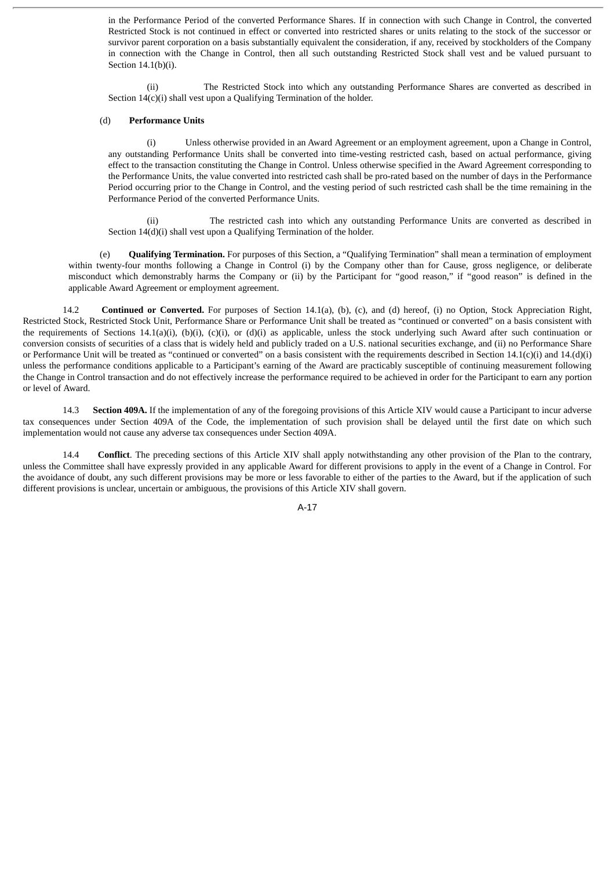in the Performance Period of the converted Performance Shares. If in connection with such Change in Control, the converted Restricted Stock is not continued in effect or converted into restricted shares or units relating to the stock of the successor or survivor parent corporation on a basis substantially equivalent the consideration, if any, received by stockholders of the Company in connection with the Change in Control, then all such outstanding Restricted Stock shall vest and be valued pursuant to Section 14.1(b)(i).

(ii) The Restricted Stock into which any outstanding Performance Shares are converted as described in Section  $14(c)(i)$  shall vest upon a Qualifying Termination of the holder.

#### (d) **Performance Units**

(i) Unless otherwise provided in an Award Agreement or an employment agreement, upon a Change in Control, any outstanding Performance Units shall be converted into time-vesting restricted cash, based on actual performance, giving effect to the transaction constituting the Change in Control. Unless otherwise specified in the Award Agreement corresponding to the Performance Units, the value converted into restricted cash shall be pro-rated based on the number of days in the Performance Period occurring prior to the Change in Control, and the vesting period of such restricted cash shall be the time remaining in the Performance Period of the converted Performance Units.

(ii) The restricted cash into which any outstanding Performance Units are converted as described in Section  $14(d)(i)$  shall vest upon a Qualifying Termination of the holder.

(e) **Qualifying Termination.** For purposes of this Section, a "Qualifying Termination" shall mean a termination of employment within twenty-four months following a Change in Control (i) by the Company other than for Cause, gross negligence, or deliberate misconduct which demonstrably harms the Company or (ii) by the Participant for "good reason," if "good reason" is defined in the applicable Award Agreement or employment agreement.

14.2 **Continued or Converted.** For purposes of Section 14.1(a), (b), (c), and (d) hereof, (i) no Option, Stock Appreciation Right, Restricted Stock, Restricted Stock Unit, Performance Share or Performance Unit shall be treated as "continued or converted" on a basis consistent with the requirements of Sections 14.1(a)(i), (b)(i), (c)(i), or (d)(i) as applicable, unless the stock underlying such Award after such continuation or conversion consists of securities of a class that is widely held and publicly traded on a U.S. national securities exchange, and (ii) no Performance Share or Performance Unit will be treated as "continued or converted" on a basis consistent with the requirements described in Section 14.1(c)(i) and 14.(d)(i) unless the performance conditions applicable to a Participant's earning of the Award are practicably susceptible of continuing measurement following the Change in Control transaction and do not effectively increase the performance required to be achieved in order for the Participant to earn any portion or level of Award.

14.3 **Section 409A.** If the implementation of any of the foregoing provisions of this Article XIV would cause a Participant to incur adverse tax consequences under Section 409A of the Code, the implementation of such provision shall be delayed until the first date on which such implementation would not cause any adverse tax consequences under Section 409A.

14.4 **Conflict**. The preceding sections of this Article XIV shall apply notwithstanding any other provision of the Plan to the contrary, unless the Committee shall have expressly provided in any applicable Award for different provisions to apply in the event of a Change in Control. For the avoidance of doubt, any such different provisions may be more or less favorable to either of the parties to the Award, but if the application of such different provisions is unclear, uncertain or ambiguous, the provisions of this Article XIV shall govern.